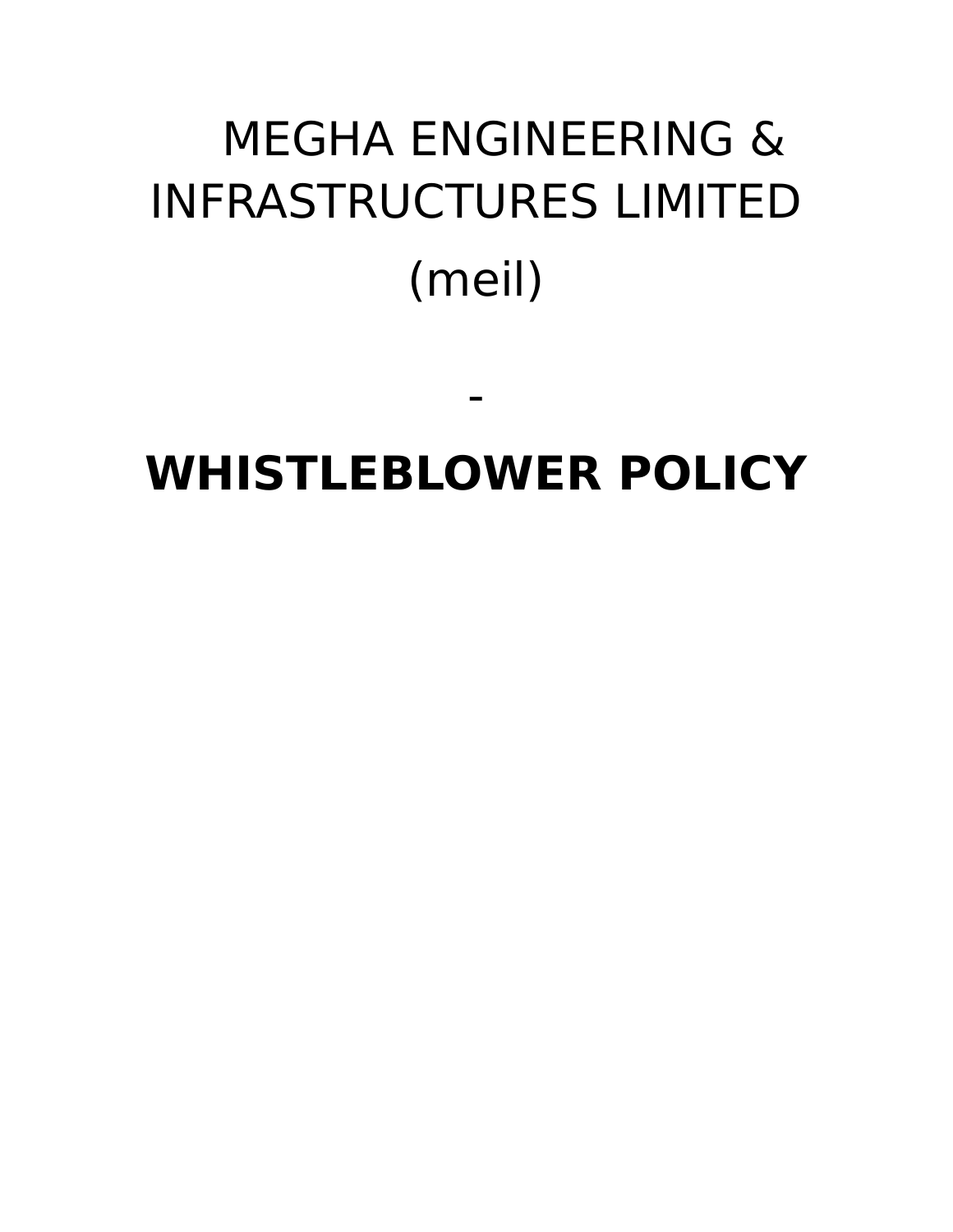# MEGHA ENGINEERING & INFRASTRUCTURES LIMITED (meil)

# **WHISTLEBLOWER POLICY**

-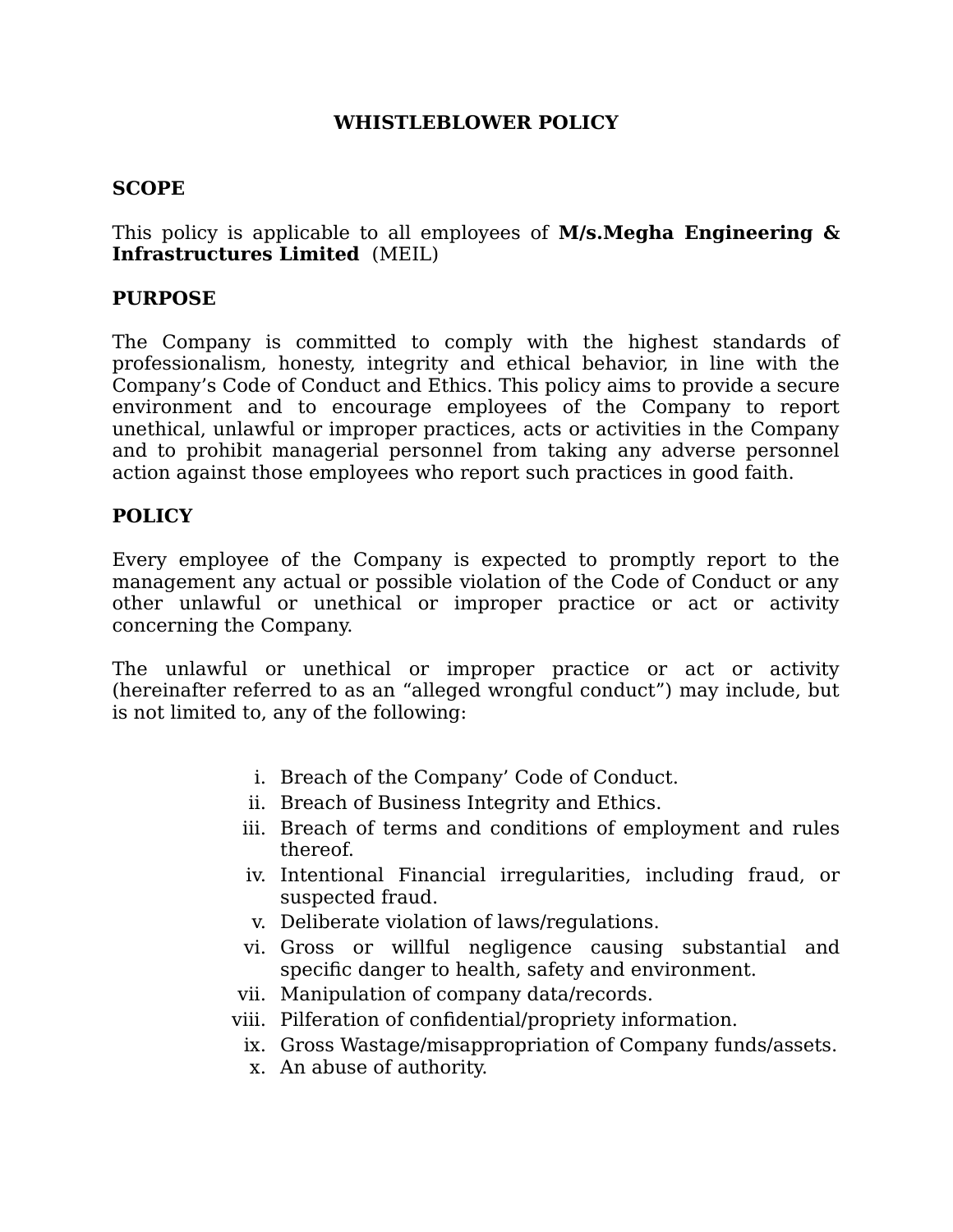# **WHISTLEBLOWER POLICY**

## **SCOPE**

This policy is applicable to all employees of **M/s.Megha Engineering & Infrastructures Limited** (MEIL)

## **PURPOSE**

The Company is committed to comply with the highest standards of professionalism, honesty, integrity and ethical behavior, in line with the Company's Code of Conduct and Ethics. This policy aims to provide a secure environment and to encourage employees of the Company to report unethical, unlawful or improper practices, acts or activities in the Company and to prohibit managerial personnel from taking any adverse personnel action against those employees who report such practices in good faith.

#### **POLICY**

Every employee of the Company is expected to promptly report to the management any actual or possible violation of the Code of Conduct or any other unlawful or unethical or improper practice or act or activity concerning the Company.

The unlawful or unethical or improper practice or act or activity (hereinafter referred to as an "alleged wrongful conduct") may include, but is not limited to, any of the following:

- i. Breach of the Company' Code of Conduct.
- ii. Breach of Business Integrity and Ethics.
- iii. Breach of terms and conditions of employment and rules thereof.
- iv. Intentional Financial irregularities, including fraud, or suspected fraud.
- v. Deliberate violation of laws/regulations.
- vi. Gross or willful negligence causing substantial and specific danger to health, safety and environment.
- vii. Manipulation of company data/records.
- viii. Pilferation of confidential/propriety information.
	- ix. Gross Wastage/misappropriation of Company funds/assets.
	- x. An abuse of authority.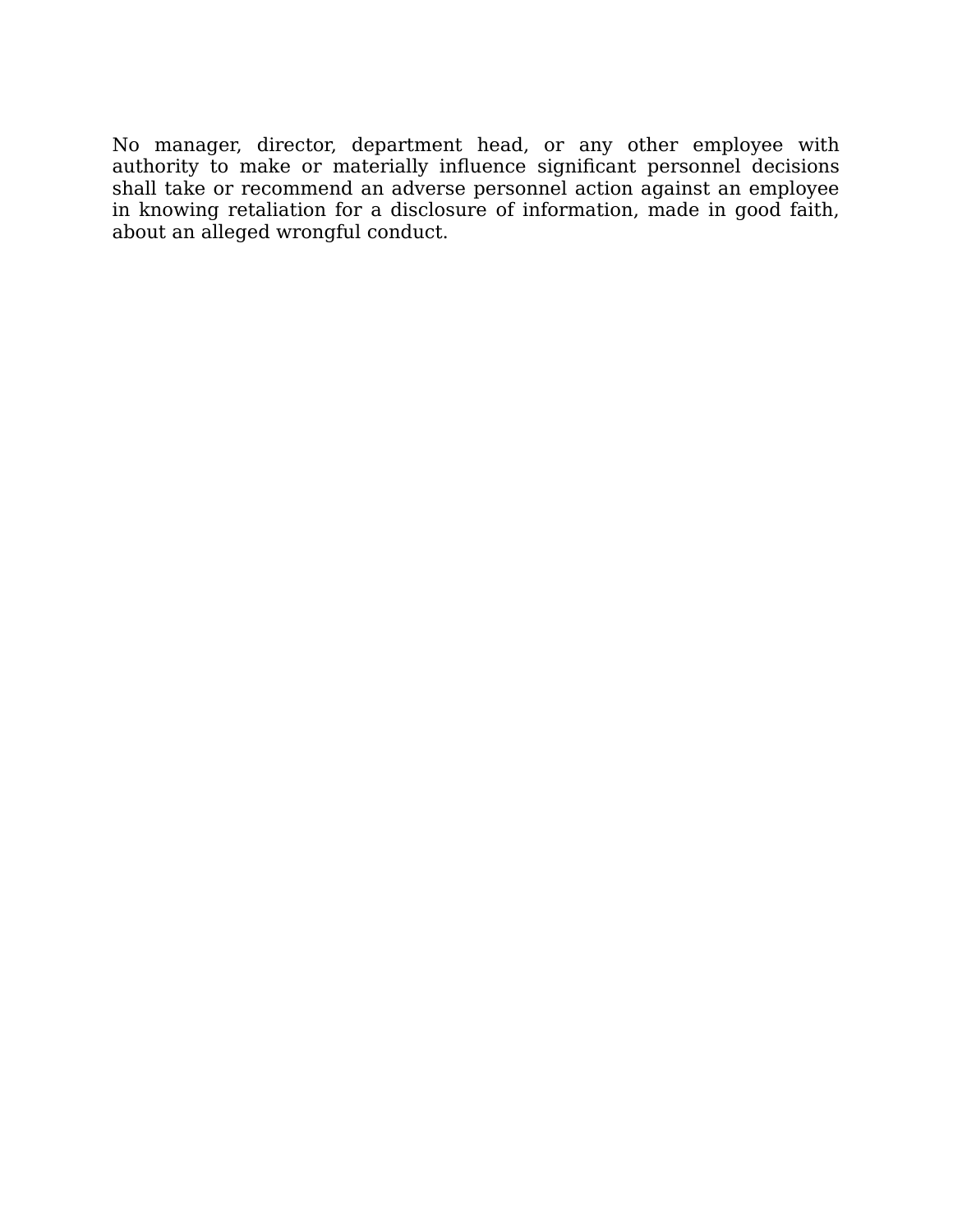No manager, director, department head, or any other employee with authority to make or materially influence significant personnel decisions shall take or recommend an adverse personnel action against an employee in knowing retaliation for a disclosure of information, made in good faith, about an alleged wrongful conduct.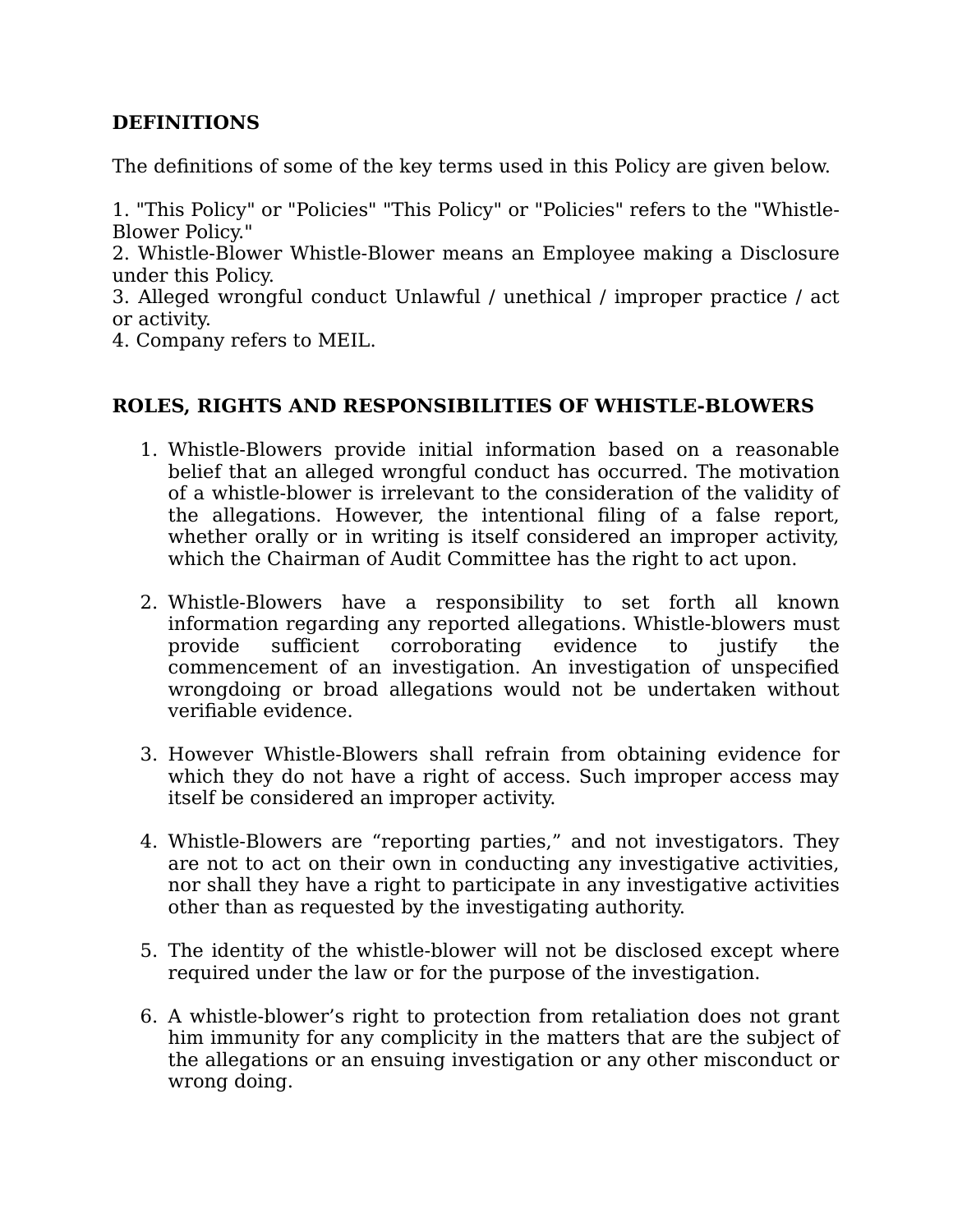# **DEFINITIONS**

The definitions of some of the key terms used in this Policy are given below.

1. "This Policy" or "Policies" "This Policy" or "Policies" refers to the "Whistle-Blower Policy."

2. Whistle-Blower Whistle-Blower means an Employee making a Disclosure under this Policy.

3. Alleged wrongful conduct Unlawful / unethical / improper practice / act or activity.

4. Company refers to MEIL.

# **ROLES, RIGHTS AND RESPONSIBILITIES OF WHISTLE-BLOWERS**

- 1. Whistle-Blowers provide initial information based on a reasonable belief that an alleged wrongful conduct has occurred. The motivation of a whistle-blower is irrelevant to the consideration of the validity of the allegations. However, the intentional filing of a false report, whether orally or in writing is itself considered an improper activity, which the Chairman of Audit Committee has the right to act upon.
- 2. Whistle-Blowers have a responsibility to set forth all known information regarding any reported allegations. Whistle-blowers must provide sufficient corroborating evidence to justify the commencement of an investigation. An investigation of unspecified wrongdoing or broad allegations would not be undertaken without verifiable evidence.
- 3. However Whistle-Blowers shall refrain from obtaining evidence for which they do not have a right of access. Such improper access may itself be considered an improper activity.
- 4. Whistle-Blowers are "reporting parties," and not investigators. They are not to act on their own in conducting any investigative activities, nor shall they have a right to participate in any investigative activities other than as requested by the investigating authority.
- 5. The identity of the whistle-blower will not be disclosed except where required under the law or for the purpose of the investigation.
- 6. A whistle-blower's right to protection from retaliation does not grant him immunity for any complicity in the matters that are the subject of the allegations or an ensuing investigation or any other misconduct or wrong doing.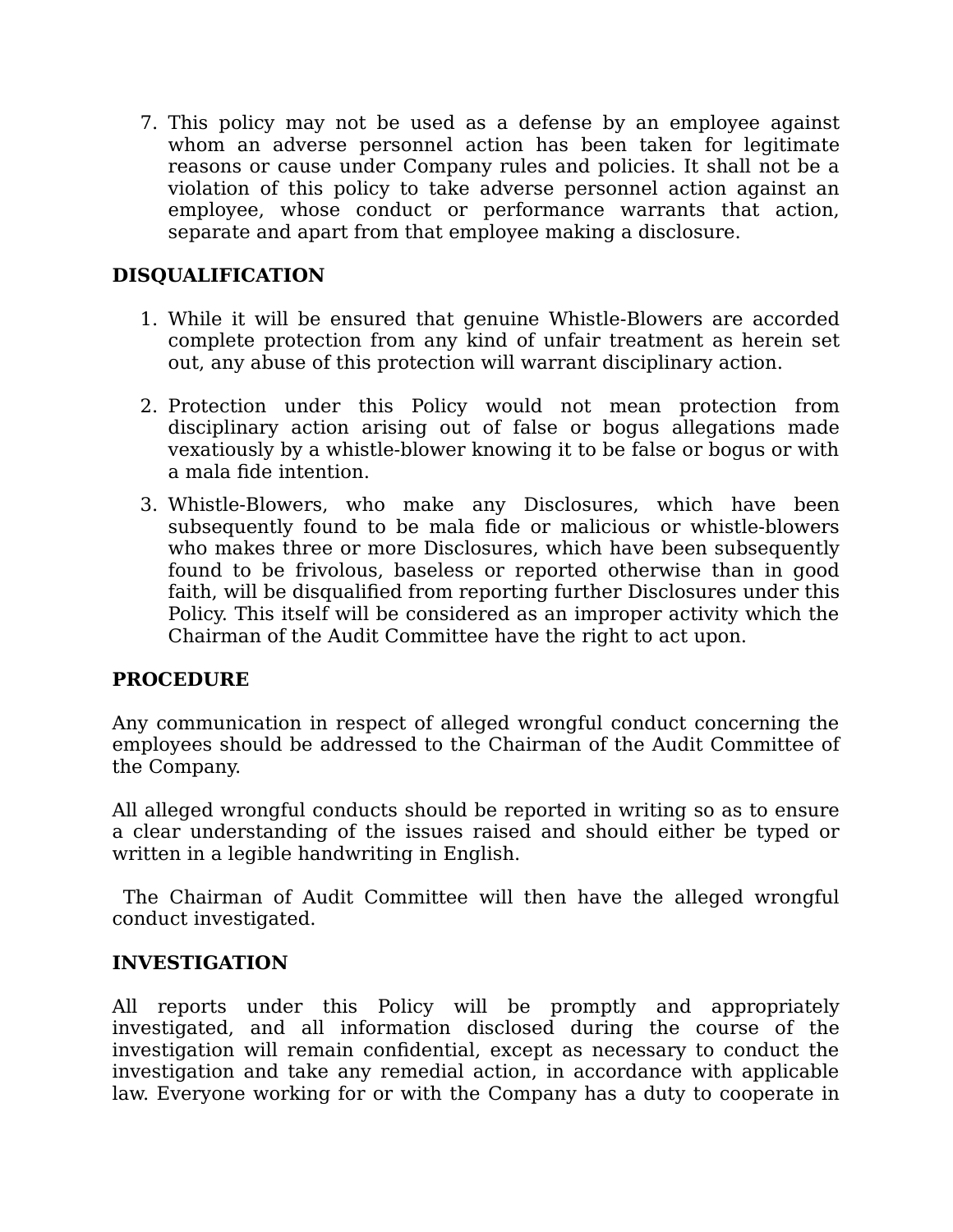7. This policy may not be used as a defense by an employee against whom an adverse personnel action has been taken for legitimate reasons or cause under Company rules and policies. It shall not be a violation of this policy to take adverse personnel action against an employee, whose conduct or performance warrants that action, separate and apart from that employee making a disclosure.

# **DISQUALIFICATION**

- 1. While it will be ensured that genuine Whistle-Blowers are accorded complete protection from any kind of unfair treatment as herein set out, any abuse of this protection will warrant disciplinary action.
- 2. Protection under this Policy would not mean protection from disciplinary action arising out of false or bogus allegations made vexatiously by a whistle-blower knowing it to be false or bogus or with a mala fide intention.
- 3. Whistle-Blowers, who make any Disclosures, which have been subsequently found to be mala fide or malicious or whistle-blowers who makes three or more Disclosures, which have been subsequently found to be frivolous, baseless or reported otherwise than in good faith, will be disqualified from reporting further Disclosures under this Policy. This itself will be considered as an improper activity which the Chairman of the Audit Committee have the right to act upon.

## **PROCEDURE**

Any communication in respect of alleged wrongful conduct concerning the employees should be addressed to the Chairman of the Audit Committee of the Company.

All alleged wrongful conducts should be reported in writing so as to ensure a clear understanding of the issues raised and should either be typed or written in a legible handwriting in English.

 The Chairman of Audit Committee will then have the alleged wrongful conduct investigated.

#### **INVESTIGATION**

All reports under this Policy will be promptly and appropriately investigated, and all information disclosed during the course of the investigation will remain confidential, except as necessary to conduct the investigation and take any remedial action, in accordance with applicable law. Everyone working for or with the Company has a duty to cooperate in